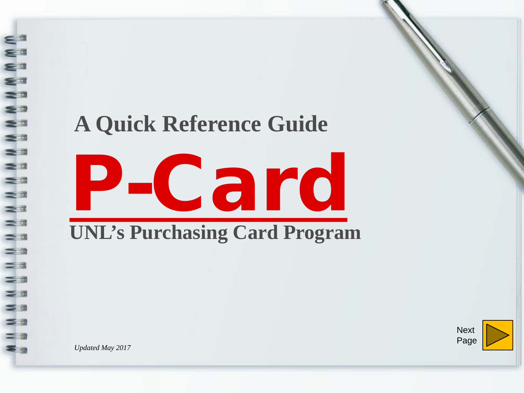## **A Quick Reference Guide**



**Next** Page

*Updated May 2017*

www.www.

**MMM** 

 $=$ 

 $\geq$  $=$ 

 $=$   $a$ 

 $=$   $\alpha$  $=$   $a$ 

 $\equiv$   $\pi$  $\leq$ 

 $\leq$   $\equiv$ 

 $\leq$   $\approx$  $=$  3  $\equiv$   $\equiv$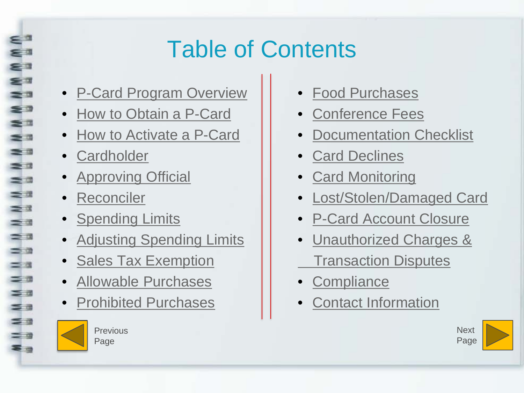# Table of Contents

- [P-Card Program Overview](#page-2-0)
- [How to Obtain a P-Card](#page-3-0)
- [How to Activate a P-Card](#page-4-0)
- [Cardholder](#page-5-0)

<span id="page-1-0"></span> $\Rightarrow$  $\Rightarrow$   $\circ$  $\leq$  0  $\sim$  $\Rightarrow$   $\Rightarrow$ 

 $\Rightarrow$   $\Rightarrow$ 

 $\rightarrow$  0  $-10$  $=$   $\pi$ 

 $\geq$   $\frac{1}{2}$  $=$   $\pm$  $=$   $\alpha$ 

 $\leq$   $\alpha$  $=$   $\pi$  $=$   $\frac{1}{2}$ 

 $\leq$   $\alpha$  $\equiv$   $\equiv$  $\equiv$   $\equiv$  $\equiv$   $\alpha$ ≅ ⊴

- **[Approving Official](#page-6-0)**
- [Reconciler](#page-7-0)
- [Spending Limits](#page-8-0)
- [Adjusting Spending Limits](#page-9-0)
- [Sales Tax Exemption](#page-10-0)
- [Allowable Purchases](#page-11-0)
- [Prohibited Purchases](#page-13-0)



Previous Page

- [Food Purchases](#page-15-0)
- [Conference Fees](#page-17-0)
- [Documentation Checklist](#page-18-0)
- [Card Declines](#page-20-0)
- [Card Monitoring](#page-21-0)
- [Lost/Stolen/Damaged Card](#page-23-0)
- [P-Card Account Closure](#page-24-0)
- [Unauthorized Charges &](#page-22-0) [Transaction Disputes](#page-22-0)

- [Compliance](#page-25-0)
- [Contact Information](#page-26-0)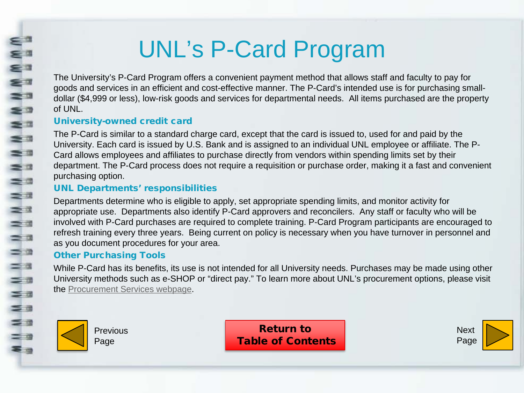## UNL's P-Card Program

The University's P-Card Program offers a convenient payment method that allows staff and faculty to pay for goods and services in an efficient and cost-effective manner. The P-Card's intended use is for purchasing smalldollar (\$4,999 or less), low-risk goods and services for departmental needs. All items purchased are the property of UNL.

#### University-owned credit card

The P-Card is similar to a standard charge card, except that the card is issued to, used for and paid by the University. Each card is issued by U.S. Bank and is assigned to an individual UNL employee or affiliate. The P-Card allows employees and affiliates to purchase directly from vendors within spending limits set by their department. The P-Card process does not require a requisition or purchase order, making it a fast and convenient purchasing option.

### UNL Departments' responsibilities

Departments determine who is eligible to apply, set appropriate spending limits, and monitor activity for appropriate use. Departments also identify P-Card approvers and reconcilers. Any staff or faculty who will be involved with P-Card purchases are required to complete training. P-Card Program participants are encouraged to refresh training every three years. Being current on policy is necessary when you have turnover in personnel and as you document procedures for your area.

#### Other Purchasing Tools

While P-Card has its benefits, its use is not intended for all University needs. Purchases may be made using other University methods such as e-SHOP or "direct pay." To learn more about UNL's procurement options, please visit the [Procurement Services webpage](http://procurement.unl.edu/).



<span id="page-2-0"></span>Eª  $\sum_{i=1}^{n}$ 

WWWW

NN

 $\geq$ 

 $\frac{1}{2}$ 

 $=$   $\alpha$  $=$   $\pi$  $\leq$   $\frac{1}{2}$  $\leq$   $\equiv$ 

 $\leq$   $\frac{1}{2}$  $=$  0 3 3

Previous Page

Return to [Table of Contents](#page-1-0)

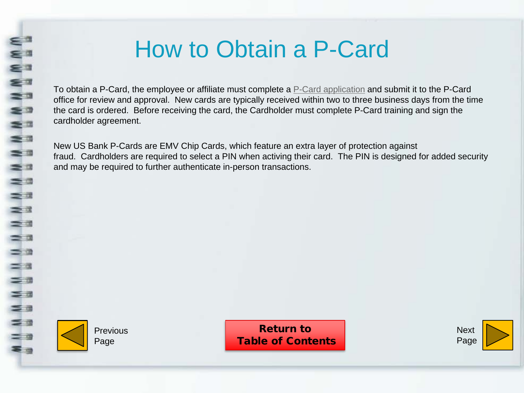## How to Obtain a P-Card

<span id="page-3-0"></span>To obtain a P-Card, the employee or affiliate must complete a [P-Card application](https://sapphire.nebraska.edu/gm/folder-1.11.10841?mode=EU) and submit it to the P-Card office for review and approval. New cards are typically received within two to three business days from the time the card is ordered. Before receiving the card, the Cardholder must complete P-Card training and sign the cardholder agreement.

New US Bank P-Cards are EMV Chip Cards, which feature an extra layer of protection against fraud. Cardholders are required to select a PIN when activing their card. The PIN is designed for added security and may be required to further authenticate in-person transactions.



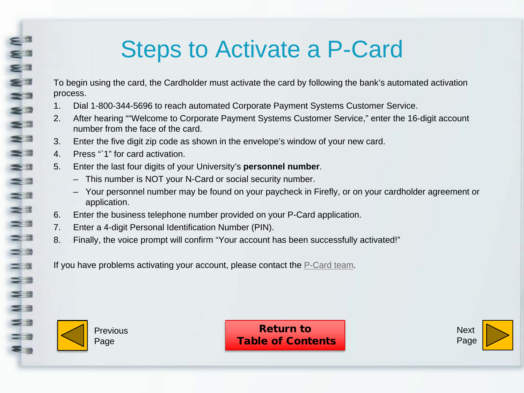## Steps to Activate a P-Card

To begin using the card, the Cardholder must activate the card by following the bank's automated activation process.

- 1. Dial 1-800-344-5696 to reach automated Corporate Payment Systems Customer Service.
- 2. After hearing ""Welcome to Corporate Payment Systems Customer Service," enter the 16-digit account number from the face of the card.
- 3. Enter the five digit zip code as shown in the envelope's window of your new card.
- 4. Press "`1" for card activation.
- 5. Enter the last four digits of your University's **personnel number**.
	- This number is NOT your N-Card or social security number.
	- Your personnel number may be found on your paycheck in Firefly, or on your cardholder agreement or application.
- 6. Enter the business telephone number provided on your P-Card application.
- 7. Enter a 4-digit Personal Identification Number (PIN).
- 8. Finally, the voice prompt will confirm "Your account has been successfully activated!"

If you have problems activating your account, please contact the [P-Card team.](mailto:pcard@unl.edu)



<span id="page-4-0"></span> $=$   $\alpha$ Eª

€ 7 s a  $\leq$ 

 $\approx$  $\equiv$   $\equiv$  $\geq$   $\frac{1}{2}$  $\equiv$   $\alpha$  $=$   $\Box$  $\equiv$   $\pi$ 

 $\geq 3$  $\geq$  3  $\equiv$   $\alpha$  $=$   $\alpha$  $=$  $a$ 

 $\equiv$   $\Box$  $\leq$   $\pi$  $\equiv$   $\equiv$  $\leq$   $\frac{1}{2}$  $=$   $\alpha$ ≅ -

Previous Page

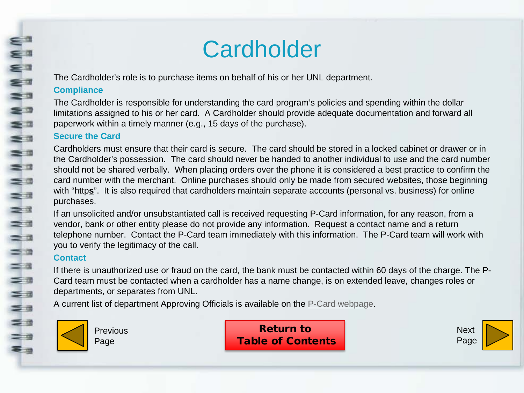## **Cardholder**

The Cardholder's role is to purchase items on behalf of his or her UNL department.

#### **Compliance**

<span id="page-5-0"></span>Eª E<sup>a</sup>

WWWW

 $\equiv$   $\pi$  $\equiv$   $\equiv$ 

 $\equiv$   $\equiv$  $=$   $a$ 

 $\equiv$   $\equiv$ 

NN N

 $=$   $a$  $=$   $\circ$ 

 $\equiv$ 

 $\equiv$   $\alpha$  $\leq$   $\pi$ s a

 $\leq$   $\approx$  $=$  9 3 3

The Cardholder is responsible for understanding the card program's policies and spending within the dollar limitations assigned to his or her card. A Cardholder should provide adequate documentation and forward all paperwork within a timely manner (e.g., 15 days of the purchase).

#### **Secure the Card**

Cardholders must ensure that their card is secure. The card should be stored in a locked cabinet or drawer or in the Cardholder's possession. The card should never be handed to another individual to use and the card number should not be shared verbally. When placing orders over the phone it is considered a best practice to confirm the card number with the merchant. Online purchases should only be made from secured websites, those beginning with "https". It is also required that cardholders maintain separate accounts (personal vs. business) for online purchases.

If an unsolicited and/or unsubstantiated call is received requesting P-Card information, for any reason, from a vendor, bank or other entity please do not provide any information. Request a contact name and a return telephone number. Contact the P-Card team immediately with this information. The P-Card team will work with you to verify the legitimacy of the call.

#### **Contact**

If there is unauthorized use or fraud on the card, the bank must be contacted within 60 days of the charge. The P-Card team must be contacted when a cardholder has a name change, is on extended leave, changes roles or departments, or separates from UNL.

A current list of department Approving Officials is available on the [P-Card webpage.](http://accounting.unl.edu/Pcard%20Approving%20Officials.pdf)



Previous Page

Return to [Table of Contents](#page-1-0)

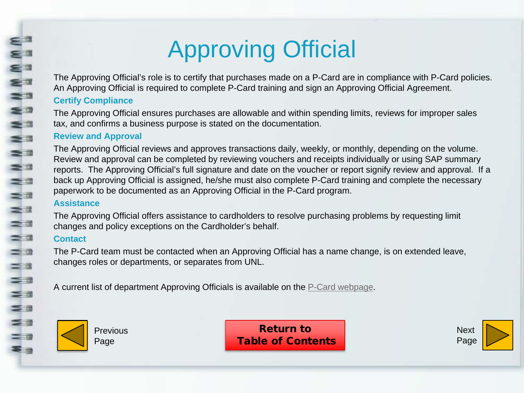# Approving Official

The Approving Official's role is to certify that purchases made on a P-Card are in compliance with P-Card policies. An Approving Official is required to complete P-Card training and sign an Approving Official Agreement.

### **Certify Compliance**

<span id="page-6-0"></span>æ0

WWWWW

s a  $\equiv$  3

= =  $=$   $\frac{1}{2}$ 

 $\equiv$   $\equiv$  $\equiv x$ 

 $\frac{1}{2}$ 

 $\equiv$   $\alpha$  $\equiv$   $\approx$  $=$   $\alpha$ 

=a<br>=a

 $\leq$   $\equiv$ 

 $\leq$   $\frac{1}{2}$  $=$  0 3 3

The Approving Official ensures purchases are allowable and within spending limits, reviews for improper sales tax, and confirms a business purpose is stated on the documentation.

### **Review and Approval**

The Approving Official reviews and approves transactions daily, weekly, or monthly, depending on the volume. Review and approval can be completed by reviewing vouchers and receipts individually or using SAP summary reports. The Approving Official's full signature and date on the voucher or report signify review and approval. If a back up Approving Official is assigned, he/she must also complete P-Card training and complete the necessary paperwork to be documented as an Approving Official in the P-Card program.

#### **Assistance**

The Approving Official offers assistance to cardholders to resolve purchasing problems by requesting limit changes and policy exceptions on the Cardholder's behalf.

### **Contact**

The P-Card team must be contacted when an Approving Official has a name change, is on extended leave, changes roles or departments, or separates from UNL.

A current list of department Approving Officials is available on the [P-Card webpage.](http://accounting.unl.edu/Pcard%20Approving%20Officials.pdf)



**Previous** Page

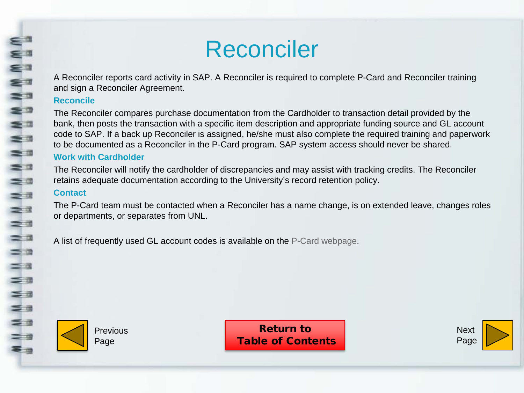## Reconciler

A Reconciler reports card activity in SAP. A Reconciler is required to complete P-Card and Reconciler training and sign a Reconciler Agreement.

#### **Reconcile**

<span id="page-7-0"></span>**WNWWW** 

 $\geq$   $\alpha$  $\equiv$   $\equiv$  $\equiv$   $\equiv$ 

 $rac{1}{2}$ 

 $\equiv$   $\alpha$  $\equiv$   $\approx$  $=$   $\alpha$  $\equiv$   $\pi$  $\leq a$  $\leq$   $\equiv$ 

 $\leq$   $\frac{1}{2}$  $=$  0 3 3

The Reconciler compares purchase documentation from the Cardholder to transaction detail provided by the bank, then posts the transaction with a specific item description and appropriate funding source and GL account code to SAP. If a back up Reconciler is assigned, he/she must also complete the required training and paperwork to be documented as a Reconciler in the P-Card program. SAP system access should never be shared.

### **Work with Cardholder**

The Reconciler will notify the cardholder of discrepancies and may assist with tracking credits. The Reconciler retains adequate documentation according to the University's record retention policy.

#### **Contact**

The P-Card team must be contacted when a Reconciler has a name change, is on extended leave, changes roles or departments, or separates from UNL.

A list of frequently used GL account codes is available on the [P-Card webpage](http://accounting.unl.edu/GL%20Account%20Guidance.pdf).



Previous Page

Return to [Table of Contents](#page-1-0)

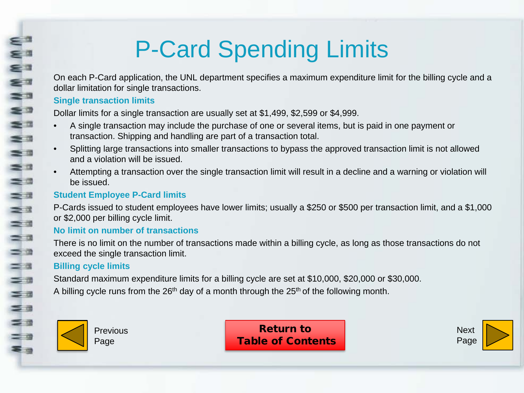# P-Card Spending Limits

On each P-Card application, the UNL department specifies a maximum expenditure limit for the billing cycle and a dollar limitation for single transactions.

### **Single transaction limits**

<span id="page-8-0"></span>æ0 E

WWWWW

 $\geq$   $\pi$  $\equiv$   $\equiv$  $\equiv$   $\equiv$ 

 $\equiv$   $\equiv$  $\equiv$   $\equiv$  $\equiv$   $\pi$  $\geq$   $\frac{3}{2}$ 

 $\frac{1}{2}$ 

 $=$   $\alpha$  $=$  $a$ 

 $=$   $\pi$  $\leq$   $\pi$  $\equiv$   $\equiv$  $\equiv$   $\equiv$  $=$   $\alpha$ ≅ -

Dollar limits for a single transaction are usually set at \$1,499, \$2,599 or \$4,999.

- A single transaction may include the purchase of one or several items, but is paid in one payment or transaction. Shipping and handling are part of a transaction total.
- Splitting large transactions into smaller transactions to bypass the approved transaction limit is not allowed and a violation will be issued.
- Attempting a transaction over the single transaction limit will result in a decline and a warning or violation will be issued.

## **Student Employee P-Card limits**

P-Cards issued to student employees have lower limits; usually a \$250 or \$500 per transaction limit, and a \$1,000 or \$2,000 per billing cycle limit.

## **No limit on number of transactions**

There is no limit on the number of transactions made within a billing cycle, as long as those transactions do not exceed the single transaction limit.

## **Billing cycle limits**

Standard maximum expenditure limits for a billing cycle are set at \$10,000, \$20,000 or \$30,000.

A billing cycle runs from the  $26<sup>th</sup>$  day of a month through the  $25<sup>th</sup>$  of the following month.



Previous Page

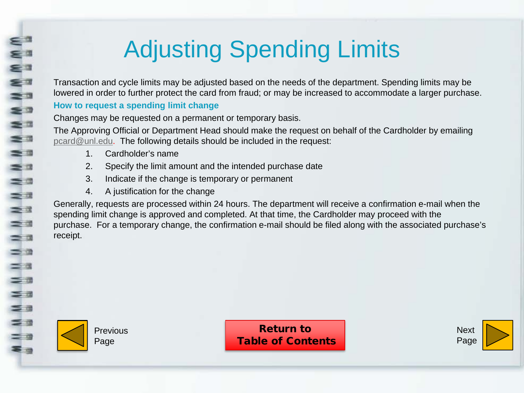# Adjusting Spending Limits

Transaction and cycle limits may be adjusted based on the needs of the department. Spending limits may be lowered in order to further protect the card from fraud; or may be increased to accommodate a larger purchase.

## **How to request a spending limit change**

Changes may be requested on a permanent or temporary basis.

The Approving Official or Department Head should make the request on behalf of the Cardholder by emailing [pcard@unl.edu.](mailto:pcard@unl.edu) The following details should be included in the request:

- 1. Cardholder's name
- 2. Specify the limit amount and the intended purchase date
- 3. Indicate if the change is temporary or permanent
- 4. A justification for the change

Generally, requests are processed within 24 hours. The department will receive a confirmation e-mail when the spending limit change is approved and completed. At that time, the Cardholder may proceed with the purchase. For a temporary change, the confirmation e-mail should be filed along with the associated purchase's receipt.



<span id="page-9-0"></span> $=$   $\alpha$ ۻ ≅ ™

WWWWI

 $\equiv$   $\alpha$  $\equiv$   $\equiv$ 

N N N<br>Ea

 $\equiv$   $\alpha$  $\equiv$   $\approx$  $=$   $\alpha$  $=$   $\pi$  $\leq a$  $\leq$   $\equiv$ 

 $\leq$   $\frac{1}{2}$  $=$   $\alpha$ ≅ -

Previous Page

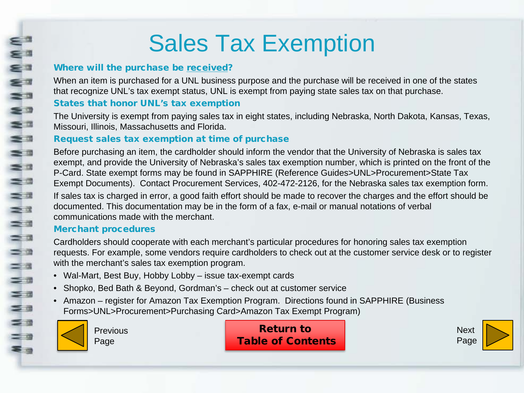## Sales Tax Exemption

### Where will the purchase be received?

When an item is purchased for a UNL business purpose and the purchase will be received in one of the states that recognize UNL's tax exempt status, UNL is exempt from paying state sales tax on that purchase.

### States that honor UNL's tax exemption

The University is exempt from paying sales tax in eight states, including Nebraska, North Dakota, Kansas, Texas, Missouri, Illinois, Massachusetts and Florida.

## Request sales tax exemption at time of purchase

Before purchasing an item, the cardholder should inform the vendor that the University of Nebraska is sales tax exempt, and provide the University of Nebraska's sales tax exemption number, which is printed on the front of the P-Card. State exempt forms may be found in SAPPHIRE (Reference Guides>UNL>Procurement>State Tax Exempt Documents). Contact Procurement Services, 402-472-2126, for the Nebraska sales tax exemption form. If sales tax is charged in error, a good faith effort should be made to recover the charges and the effort should be documented. This documentation may be in the form of a fax, e-mail or manual notations of verbal communications made with the merchant.

## Merchant procedures

Cardholders should cooperate with each merchant's particular procedures for honoring sales tax exemption requests. For example, some vendors require cardholders to check out at the customer service desk or to register with the merchant's sales tax exemption program.

- Wal-Mart, Best Buy, Hobby Lobby issue tax-exempt cards
- Shopko, Bed Bath & Beyond, Gordman's check out at customer service
- Amazon register for Amazon Tax Exemption Program. Directions found in SAPPHIRE (Business Forms>UNL>Procurement>Purchasing Card>Amazon Tax Exempt Program)



<span id="page-10-0"></span> $\epsilon$ ۻ ≅∃

WWWW

 $\leq$   $\Box$  $\geq$ 

≡ ¤  $\equiv$   $\equiv$  $\equiv x$ 

 $rac{1}{2}$ 

 $=$   $a$  $=$   $\alpha$ 

 $=$   $\alpha$ 

=a<br>=a

 $\leq$   $\equiv$ 

 $\leq$   $\approx$  $=$   $\alpha$ **=** 

**Previous** Page

Return to [Table of Contents](#page-1-0)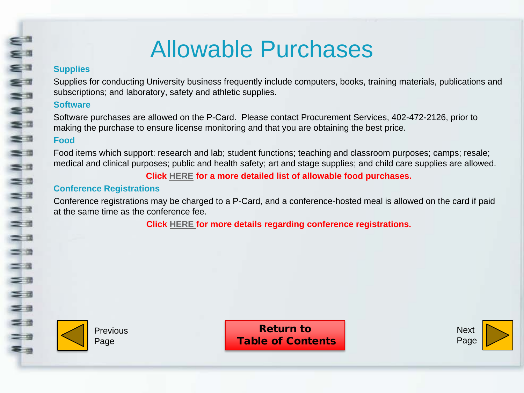## Allowable Purchases

#### **Supplies**

<span id="page-11-0"></span> $=$  0 €∃

€ 7 za ≅∍

 $\frac{1}{2}$ 

 $\geq$   $\frac{1}{2}$  $\leq$   $\alpha$ 

NN N

 $\equiv$   $\equiv$  $\equiv$   $\alpha$  $\equiv$   $\alpha$  $\equiv$   $\equiv$  $=$   $\pi$  $\leq$   $\pi$  $\leq$   $\equiv$  $\leq$   $\approx$  $=$   $\alpha$ 零田

Supplies for conducting University business frequently include computers, books, training materials, publications and subscriptions; and laboratory, safety and athletic supplies.

### **Software**

Software purchases are allowed on the P-Card. Please contact Procurement Services, 402-472-2126, prior to making the purchase to ensure license monitoring and that you are obtaining the best price.

### **Food**

Food items which support: research and lab; student functions; teaching and classroom purposes; camps; resale; medical and clinical purposes; public and health safety; art and stage supplies; and child care supplies are allowed.

**Click [HERE](#page-15-0) for a more detailed list of allowable food purchases.** 

### **Conference Registrations**

Conference registrations may be charged to a P-Card, and a conference-hosted meal is allowed on the card if paid at the same time as the conference fee.

**Click [HERE f](#page-17-0)or more details regarding conference registrations.** 



**Previous** Page

Return to [Table of Contents](#page-1-0)

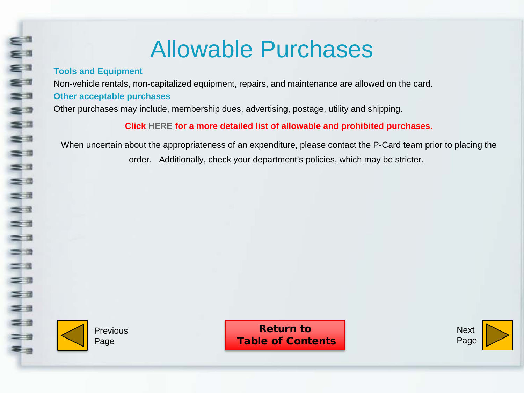## Allowable Purchases

#### **Tools and Equipment**

Eª  $\sum_{i=1}^{n}$ € =

≅∃  $\equiv$   $\equiv$  $\leq$   $\exists$ 

 $\leq$   $\frac{1}{2}$  $\equiv$   $\equiv$  $\equiv$   $\equiv$  $\equiv$   $\equiv$  $\equiv$   $\equiv$ ≡≖  $\geq$   $\frac{3}{2}$  $\equiv$   $\equiv$  $\equiv$   $\alpha$  $\equiv$   $\approx$  $\equiv$   $\equiv$  $\equiv$   $\pi$  $\leq$   $\pi$  $\leq$   $\equiv$ 

 $\leq$   $\geq$  $=$   $\alpha$ 零画

Non-vehicle rentals, non-capitalized equipment, repairs, and maintenance are allowed on the card.

#### **Other acceptable purchases**

Other purchases may include, membership dues, advertising, postage, utility and shipping.

**Click [HERE](http://accounting.unl.edu/Allowable%20-%20Prohibited%20items.pdf) for a more detailed list of allowable and prohibited purchases.** 

When uncertain about the appropriateness of an expenditure, please contact the P-Card team prior to placing the order. Additionally, check your department's policies, which may be stricter.



**Previous** Page

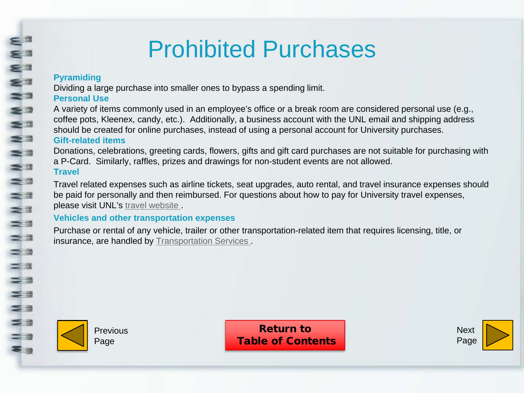## Prohibited Purchases

### **Pyramiding**

<span id="page-13-0"></span>Eª

**MWW** 

=

 $\frac{1}{2}$ 

 $\equiv$   $\equiv$  $=$   $\alpha$ 

 $\equiv$   $\equiv$  $\equiv$   $\equiv$ 

N<br>N<br>N<br>N

 $=$   $\alpha$ 

 $=$   $\alpha$  $\equiv$   $\pi$  $\leq$   $\pi$  $\leq$   $\equiv$  $\equiv$   $\equiv$  $=$  0 **\$ a** 

Dividing a large purchase into smaller ones to bypass a spending limit.

### **Personal Use**

A variety of items commonly used in an employee's office or a break room are considered personal use (e.g., coffee pots, Kleenex, candy, etc.). Additionally, a business account with the UNL email and shipping address should be created for online purchases, instead of using a personal account for University purchases.

#### **Gift-related items**

Donations, celebrations, greeting cards, flowers, gifts and gift card purchases are not suitable for purchasing with a P-Card. Similarly, raffles, prizes and drawings for non-student events are not allowed. **Travel**

Travel related expenses such as airline tickets, seat upgrades, auto rental, and travel insurance expenses should be paid for personally and then reimbursed. For questions about how to pay for University travel expenses, please visit UNL's [travel website .](http://travel.unl.edu/)

#### **Vehicles and other transportation expenses**

Purchase or rental of any vehicle, trailer or other transportation-related item that requires licensing, title, or insurance, are handled by [Transportation Services](http://transportation.unl.edu/) .



Previous Page

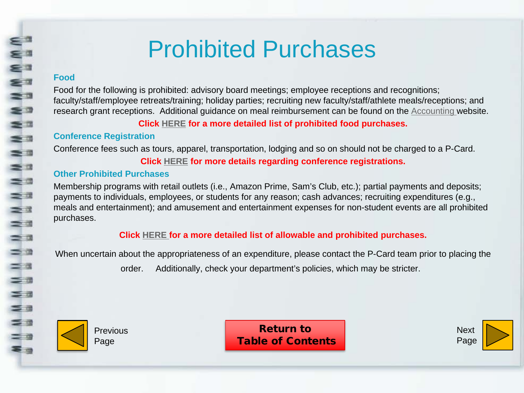## Prohibited Purchases

#### **Food**

E.

**MMWW** 

≤ª  $\equiv$   $\equiv$ 

 $\geq$  3

■ 第一章

 $\geq$   $\frac{3}{2}$ ≡≊

 $\equiv$   $\alpha$  $\equiv$   $\approx$  $\equiv$   $\equiv$  $\equiv$   $\pi$  $\leq$   $\pi$  $\leq$   $\equiv$  $\equiv$   $\equiv$  $=$   $\alpha$ **\$ a** 

Food for the following is prohibited: advisory board meetings; employee receptions and recognitions; faculty/staff/employee retreats/training; holiday parties; recruiting new faculty/staff/athlete meals/receptions; and research grant receptions. Additional guidance on meal reimbursement can be found on the [Accounting w](http://accounting.unl.edu/policies/guidelines-funding-non-travel-related-meals-and-receptions)ebsite.

**Click [HERE](#page-16-0) for a more detailed list of prohibited food purchases.**

#### **Conference Registration**

Conference fees such as tours, apparel, transportation, lodging and so on should not be charged to a P-Card. **Click [HERE](#page-17-0) for more details regarding conference registrations.** 

#### **Other Prohibited Purchases**

Membership programs with retail outlets (i.e., Amazon Prime, Sam's Club, etc.); partial payments and deposits; payments to individuals, employees, or students for any reason; cash advances; recruiting expenditures (e.g., meals and entertainment); and amusement and entertainment expenses for non-student events are all prohibited purchases.

**Click [HERE](http://accounting.unl.edu/Allowable%20-%20Prohibited%20items.pdf) for a more detailed list of allowable and prohibited purchases.**

When uncertain about the appropriateness of an expenditure, please contact the P-Card team prior to placing the

order. Additionally, check your department's policies, which may be stricter.



Previous Page

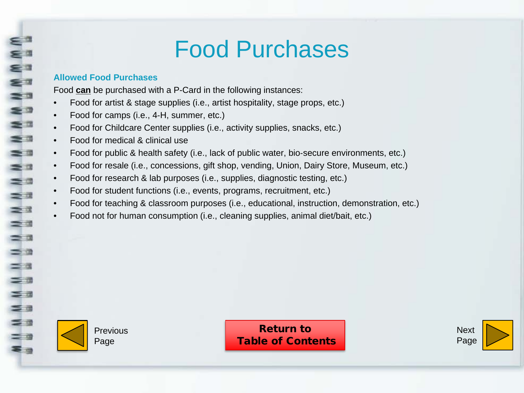## Food Purchases

#### **Allowed Food Purchases**

<span id="page-15-0"></span>E

WWWWW

 $\geq$   $\frac{1}{2}$ 

 $\equiv$   $\alpha$  $\equiv$  3

NN N

 $\equiv$   $\alpha$  $\equiv$   $\approx$  $=$   $\alpha$  $\equiv$   $\pi$  $\leq a$  $\leq$   $\equiv$ 

 $\leq$   $\frac{1}{2}$  $=$   $\alpha$ ≅ ⊴ Food **can** be purchased with a P-Card in the following instances:

- Food for artist & stage supplies (i.e., artist hospitality, stage props, etc.)
- Food for camps (i.e., 4-H, summer, etc.)
- Food for Childcare Center supplies (i.e., activity supplies, snacks, etc.)
- Food for medical & clinical use
- Food for public & health safety (i.e., lack of public water, bio‐secure environments, etc.)
- Food for resale (i.e., concessions, gift shop, vending, Union, Dairy Store, Museum, etc.)
- Food for research & lab purposes (i.e., supplies, diagnostic testing, etc.)
- Food for student functions (i.e., events, programs, recruitment, etc.)
- Food for teaching & classroom purposes (i.e., educational, instruction, demonstration, etc.)
- Food not for human consumption (i.e., cleaning supplies, animal diet/bait, etc.)



Previous Page

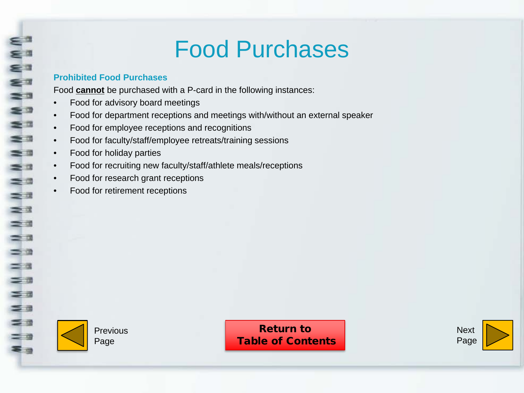## Food Purchases

#### **Prohibited Food Purchases**

<span id="page-16-0"></span>WWWWWW

 $\geq$   $\frac{1}{2}$  $\leq$   $\alpha$  $\equiv$   $\equiv$ = 2

 $\geq$   $\frac{3}{2}$  $\equiv$   $\equiv$  $\equiv$   $\alpha$  $\equiv$   $\alpha$  $=$   $\alpha$  $=$   $\pi$  $\leq$   $\pi$  $\leq$   $\equiv$  $\leq$   $\geq$ = 0 **=** 

Food **cannot** be purchased with a P-card in the following instances:

- Food for advisory board meetings
- Food for department receptions and meetings with/without an external speaker
- Food for employee receptions and recognitions
- Food for faculty/staff/employee retreats/training sessions
- Food for holiday parties
- Food for recruiting new faculty/staff/athlete meals/receptions
- Food for research grant receptions
- Food for retirement receptions



Previous Page

Return to [Table of Contents](#page-1-0)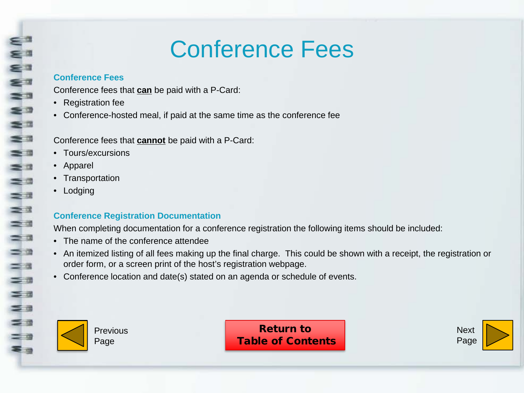## Conference Fees

#### **Conference Fees**

Conference fees that **can** be paid with a P-Card:

- Registration fee
- Conference-hosted meal, if paid at the same time as the conference fee

Conference fees that **cannot** be paid with a P-Card:

- Tours/excursions
- Apparel

<span id="page-17-0"></span>WWWWW

 $\equiv$   $\equiv$  $\equiv$   $\equiv$  $\leq$   $\alpha$  $\equiv$   $\equiv$ = 2

NNW

 $=$   $\alpha$  $=$   $a$  $\equiv$   $\pi$  $\leq$   $\pi$  $\leq$   $\equiv$ 

 $\leq$   $\geq$  $=$   $\alpha$ ≅ -

- Transportation
- Lodging

## **Conference Registration Documentation**

When completing documentation for a conference registration the following items should be included:

- The name of the conference attendee
- An itemized listing of all fees making up the final charge. This could be shown with a receipt, the registration or order form, or a screen print of the host's registration webpage.
- Conference location and date(s) stated on an agenda or schedule of events.



Previous Page

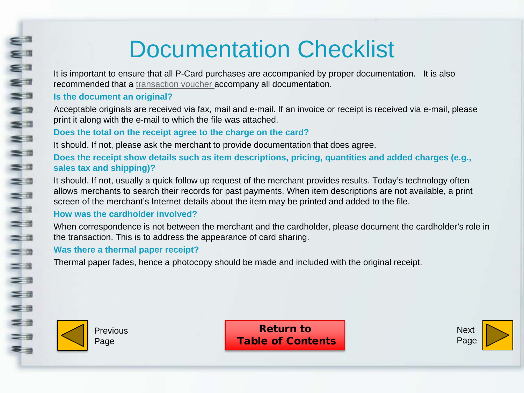## Documentation Checklist

It is important to ensure that all P-Card purchases are accompanied by proper documentation. It is also recommended that a [transaction voucher a](https://sapphire.nebraska.edu/gm/folder-1.11.10848?mode=EU)ccompany all documentation.

#### **Is the document an original?**

<span id="page-18-0"></span>⋷

N M

 $\equiv$ 

 $\leq$ 

WWW

 $\equiv$   $\equiv$ 

 $= 0$  $\equiv$   $\equiv$  $\geq$ 

 $\equiv$   $\equiv$  $\equiv$   $\Box$  $\equiv$   $\alpha$  $\leq$   $\alpha$ 

 $\equiv$   $\pi$  $\leq$   $\pi$  $\leq$   $\equiv$  $\equiv$   $\equiv$  $=$   $\alpha$ **\$ a** 

Acceptable originals are received via fax, mail and e-mail. If an invoice or receipt is received via e-mail, please print it along with the e-mail to which the file was attached.

### **Does the total on the receipt agree to the charge on the card?**

It should. If not, please ask the merchant to provide documentation that does agree.

**Does the receipt show details such as item descriptions, pricing, quantities and added charges (e.g., sales tax and shipping)?** 

It should. If not, usually a quick follow up request of the merchant provides results. Today's technology often allows merchants to search their records for past payments. When item descriptions are not available, a print screen of the merchant's Internet details about the item may be printed and added to the file.

#### **How was the cardholder involved?**

When correspondence is not between the merchant and the cardholder, please document the cardholder's role in the transaction. This is to address the appearance of card sharing.

#### **Was there a thermal paper receipt?**

Thermal paper fades, hence a photocopy should be made and included with the original receipt.



Previous Page

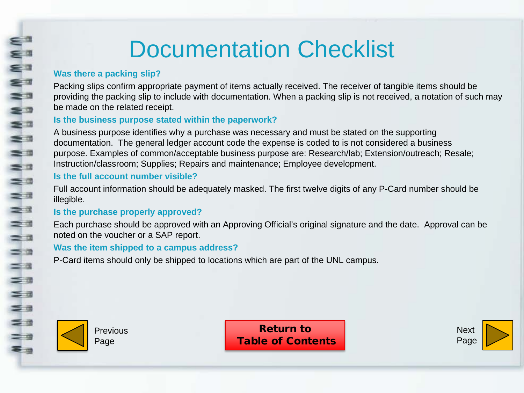## Documentation Checklist

## **Was there a packing slip?**

**WWWW** 

≡∍

 $\geq$   $\alpha$  $\equiv$  $\equiv$ a

 $\geq$   $\approx$ 

 $\equiv$   $\equiv$  $\equiv$   $\alpha$  $\leq x$  $=$ a  $\equiv$   $\pi$  $\leq$   $\pi$  $\leq$   $\equiv$  $\equiv$   $\equiv$  $=$   $\alpha$ **\$ a** 

Packing slips confirm appropriate payment of items actually received. The receiver of tangible items should be providing the packing slip to include with documentation. When a packing slip is not received, a notation of such may be made on the related receipt.

### **Is the business purpose stated within the paperwork?**

A business purpose identifies why a purchase was necessary and must be stated on the supporting documentation. The general ledger account code the expense is coded to is not considered a business purpose. Examples of common/acceptable business purpose are: Research/lab; Extension/outreach; Resale; Instruction/classroom; Supplies; Repairs and maintenance; Employee development.

### **Is the full account number visible?**

Full account information should be adequately masked. The first twelve digits of any P-Card number should be illegible.

### **Is the purchase properly approved?**

Each purchase should be approved with an Approving Official's original signature and the date. Approval can be noted on the voucher or a SAP report.

### **Was the item shipped to a campus address?**

P-Card items should only be shipped to locations which are part of the UNL campus.



**Previous** Page

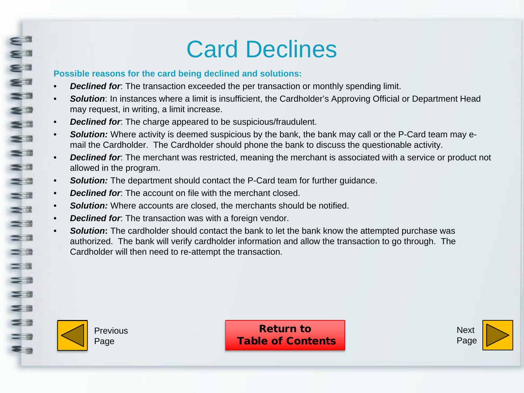## Card Declines

#### **Possible reasons for the card being declined and solutions:**

- **Declined for**: The transaction exceeded the per transaction or monthly spending limit.
- *Solution*: In instances where a limit is insufficient, the Cardholder's Approving Official or Department Head may request, in writing, a limit increase.
- **Declined for**: The charge appeared to be suspicious/fraudulent.
- *Solution:* Where activity is deemed suspicious by the bank, the bank may call or the P-Card team may email the Cardholder. The Cardholder should phone the bank to discuss the questionable activity.
- *Declined for*: The merchant was restricted, meaning the merchant is associated with a service or product not allowed in the program.
- *Solution:* The department should contact the P-Card team for further guidance.
- *Declined for*: The account on file with the merchant closed.
- *Solution:* Where accounts are closed, the merchants should be notified.
- **Declined for**: The transaction was with a foreign vendor.
- *Solution***:** The cardholder should contact the bank to let the bank know the attempted purchase was authorized. The bank will verify cardholder information and allow the transaction to go through. The Cardholder will then need to re-attempt the transaction.



<span id="page-20-0"></span>**WWWW** 

 $\leq$   $\Box$ 

s:  $=$   $\frac{1}{2}$ 

 $\equiv$   $\equiv$  $\leq$   $\alpha$  $\equiv$   $\equiv$  $\equiv x$  $\geq$  $\sum_{i=1}^n$  $=$   $a$ 

 $\equiv$   $\alpha$  $=$   $\pi$ 

 $=$   $\pi$  $\leq$   $\pi$  $\leq$   $\frac{1}{2}$  $=$   $\alpha$  $=$   $\alpha$ **Eg** 

Previous Page

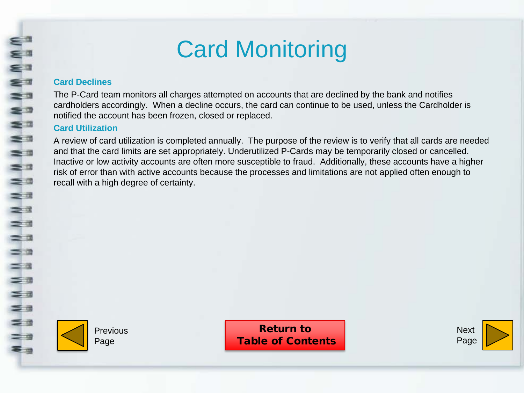## Card Monitoring

#### **Card Declines**

<span id="page-21-0"></span>≤ª

≅∃ = a

WWW

 $\equiv$   $\equiv$ 

za<br>Za

 $\equiv x$  $\geq 3$  $\equiv$   $\equiv$  $=$   $a$  $\leq x$  $\equiv$  3

三田  $\leq$   $\frac{1}{2}$  $\leq$   $\equiv$ 

 $\leq$   $\frac{1}{2}$  $=$  9 ≅ - The P-Card team monitors all charges attempted on accounts that are declined by the bank and notifies cardholders accordingly. When a decline occurs, the card can continue to be used, unless the Cardholder is notified the account has been frozen, closed or replaced.

#### **Card Utilization**

A review of card utilization is completed annually. The purpose of the review is to verify that all cards are needed and that the card limits are set appropriately. Underutilized P-Cards may be temporarily closed or cancelled. Inactive or low activity accounts are often more susceptible to fraud. Additionally, these accounts have a higher risk of error than with active accounts because the processes and limitations are not applied often enough to recall with a high degree of certainty.



Previous Page

Return to [Table of Contents](#page-1-0)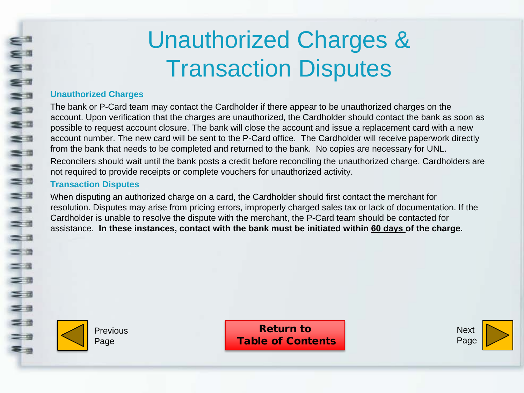## Unauthorized Charges & Transaction Disputes

### <span id="page-22-0"></span>**Unauthorized Charges**

The bank or P-Card team may contact the Cardholder if there appear to be unauthorized charges on the account. Upon verification that the charges are unauthorized, the Cardholder should contact the bank as soon as possible to request account closure. The bank will close the account and issue a replacement card with a new account number. The new card will be sent to the P-Card office. The Cardholder will receive paperwork directly from the bank that needs to be completed and returned to the bank. No copies are necessary for UNL.

Reconcilers should wait until the bank posts a credit before reconciling the unauthorized charge. Cardholders are not required to provide receipts or complete vouchers for unauthorized activity.

### **Transaction Disputes**

When disputing an authorized charge on a card, the Cardholder should first contact the merchant for resolution. Disputes may arise from pricing errors, improperly charged sales tax or lack of documentation. If the Cardholder is unable to resolve the dispute with the merchant, the P-Card team should be contacted for assistance. **In these instances, contact with the bank must be initiated within 60 days of the charge.**



Previous Page

Return to [Table of Contents](#page-1-0)

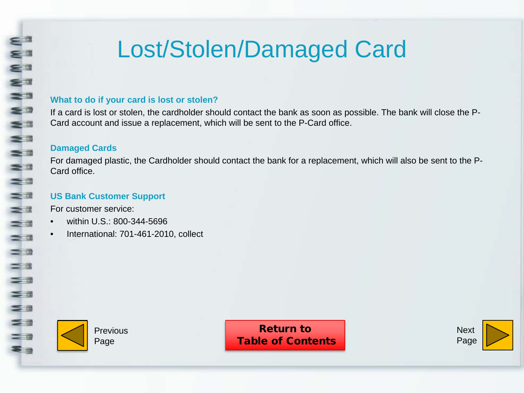## Lost/Stolen/Damaged Card

#### <span id="page-23-0"></span>**What to do if your card is lost or stolen?**

If a card is lost or stolen, the cardholder should contact the bank as soon as possible. The bank will close the P-Card account and issue a replacement, which will be sent to the P-Card office.

#### **Damaged Cards**

For damaged plastic, the Cardholder should contact the bank for a replacement, which will also be sent to the P-Card office.

### **US Bank Customer Support**

For customer service:

- within U.S.: 800-344-5696
- International: 701-461-2010, collect



**Previous** Page

Return to [Table of Contents](#page-1-0)

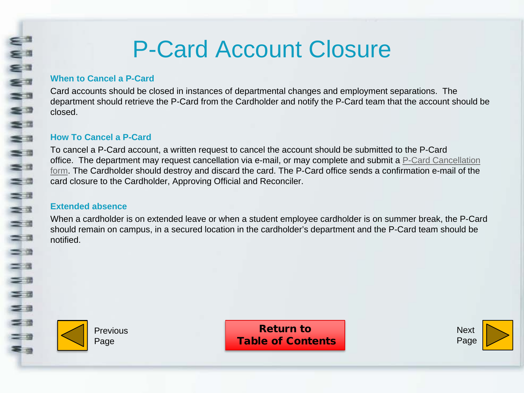## P-Card Account Closure

#### **When to Cancel a P-Card**

<span id="page-24-0"></span>Eª

NN<br>S

s a  $\leq$ 

 $\geq$   $\frac{1}{2}$ 

 $=$   $\frac{1}{2}$  $\equiv$   $\equiv$  $\equiv$   $\pi$ 

NN N

 $\equiv$   $\alpha$  $=$   $\pi$  $=$   $\pi$  $\leq$   $\pi$  $\leq$   $\equiv$  $\equiv$   $\approx$  $=$   $\alpha$ 零田

Card accounts should be closed in instances of departmental changes and employment separations. The department should retrieve the P-Card from the Cardholder and notify the P-Card team that the account should be closed.

#### **How To Cancel a P-Card**

To cancel a P-Card account, a written request to cancel the account should be submitted to the P-Card office. [The department may request cancellation via e-mail, or may complete and submit a P-Card Cancellation](https://sapphire.nebraska.edu/gm/folder-1.11.10839?mode=EU) form. The Cardholder should destroy and discard the card. The P-Card office sends a confirmation e-mail of the card closure to the Cardholder, Approving Official and Reconciler.

#### **Extended absence**

When a cardholder is on extended leave or when a student employee cardholder is on summer break, the P-Card should remain on campus, in a secured location in the cardholder's department and the P-Card team should be notified.



Previous Page

Return to [Table of Contents](#page-1-0)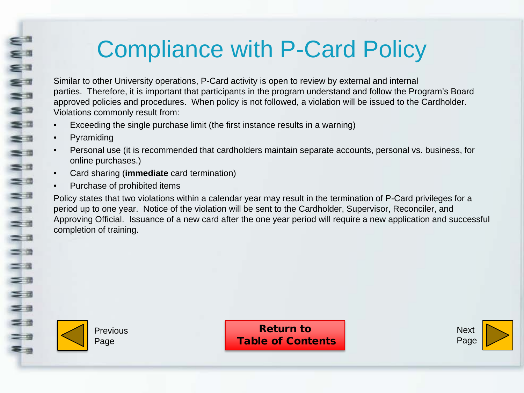## Compliance with P-Card Policy

Similar to other University operations, P-Card activity is open to review by external and internal parties. Therefore, it is important that participants in the program understand and follow the Program's Board approved policies and procedures. When policy is not followed, a violation will be issued to the Cardholder. Violations commonly result from:

- Exceeding the single purchase limit (the first instance results in a warning)
- **Pyramiding**

<span id="page-25-0"></span>⊆ d ≤ª

NNW

s a  $\equiv$  3  $\geq$   $\frac{1}{2}$ 

 $\frac{1}{2}$  $\equiv$  3 ==  $\geq$  3

 $\frac{1}{2}$ 

 $=$   $\alpha$  $=$   $\alpha$  $\equiv$   $\pi$  $\leq$   $\alpha$  $\leq$   $\equiv$ 

 $\leq$   $\frac{1}{2}$  $=$  0 ≅ -

- Personal use (it is recommended that cardholders maintain separate accounts, personal vs. business, for online purchases.)
- Card sharing (**immediate** card termination)
- Purchase of prohibited items

Policy states that two violations within a calendar year may result in the termination of P-Card privileges for a period up to one year. Notice of the violation will be sent to the Cardholder, Supervisor, Reconciler, and Approving Official. Issuance of a new card after the one year period will require a new application and successful completion of training.



Previous Page

Return to [Table of Contents](#page-1-0)